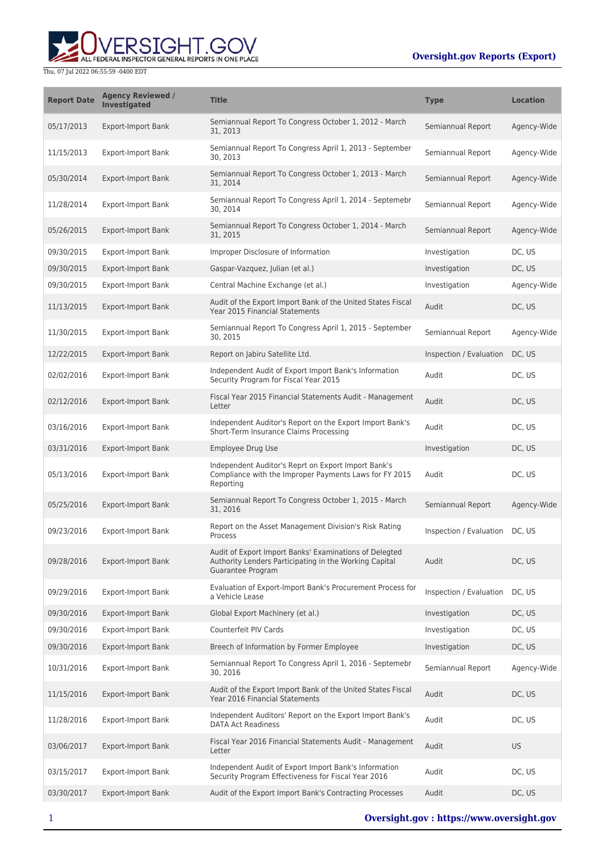

Thu, 07 Jul 2022 06:55:59 -0400 EDT

| <b>Report Date</b> | <b>Agency Reviewed /</b><br><b>Investigated</b> | <b>Title</b>                                                                                                                          | <b>Type</b>             | <b>Location</b> |
|--------------------|-------------------------------------------------|---------------------------------------------------------------------------------------------------------------------------------------|-------------------------|-----------------|
| 05/17/2013         | <b>Export-Import Bank</b>                       | Semiannual Report To Congress October 1, 2012 - March<br>31, 2013                                                                     | Semiannual Report       | Agency-Wide     |
| 11/15/2013         | <b>Export-Import Bank</b>                       | Semiannual Report To Congress April 1, 2013 - September<br>30, 2013                                                                   | Semiannual Report       | Agency-Wide     |
| 05/30/2014         | <b>Export-Import Bank</b>                       | Semiannual Report To Congress October 1, 2013 - March<br>31, 2014                                                                     | Semiannual Report       | Agency-Wide     |
| 11/28/2014         | <b>Export-Import Bank</b>                       | Semiannual Report To Congress April 1, 2014 - Septemebr<br>30, 2014                                                                   | Semiannual Report       | Agency-Wide     |
| 05/26/2015         | <b>Export-Import Bank</b>                       | Semiannual Report To Congress October 1, 2014 - March<br>31, 2015                                                                     | Semiannual Report       | Agency-Wide     |
| 09/30/2015         | <b>Export-Import Bank</b>                       | Improper Disclosure of Information                                                                                                    | Investigation           | DC, US          |
| 09/30/2015         | <b>Export-Import Bank</b>                       | Gaspar-Vazquez, Julian (et al.)                                                                                                       | Investigation           | DC, US          |
| 09/30/2015         | <b>Export-Import Bank</b>                       | Central Machine Exchange (et al.)                                                                                                     | Investigation           | Agency-Wide     |
| 11/13/2015         | <b>Export-Import Bank</b>                       | Audit of the Export Import Bank of the United States Fiscal<br>Year 2015 Financial Statements                                         | Audit                   | DC, US          |
| 11/30/2015         | <b>Export-Import Bank</b>                       | Semiannual Report To Congress April 1, 2015 - September<br>30, 2015                                                                   | Semiannual Report       | Agency-Wide     |
| 12/22/2015         | <b>Export-Import Bank</b>                       | Report on Jabiru Satellite Ltd.                                                                                                       | Inspection / Evaluation | DC, US          |
| 02/02/2016         | <b>Export-Import Bank</b>                       | Independent Audit of Export Import Bank's Information<br>Security Program for Fiscal Year 2015                                        | Audit                   | DC, US          |
| 02/12/2016         | <b>Export-Import Bank</b>                       | Fiscal Year 2015 Financial Statements Audit - Management<br>Letter                                                                    | Audit                   | DC, US          |
| 03/16/2016         | <b>Export-Import Bank</b>                       | Independent Auditor's Report on the Export Import Bank's<br>Short-Term Insurance Claims Processing                                    | Audit                   | DC, US          |
| 03/31/2016         | <b>Export-Import Bank</b>                       | <b>Employee Drug Use</b>                                                                                                              | Investigation           | DC, US          |
| 05/13/2016         | <b>Export-Import Bank</b>                       | Independent Auditor's Reprt on Export Import Bank's<br>Compliance with the Improper Payments Laws for FY 2015<br>Reporting            | Audit                   | DC, US          |
| 05/25/2016         | <b>Export-Import Bank</b>                       | Semiannual Report To Congress October 1, 2015 - March<br>31, 2016                                                                     | Semiannual Report       | Agency-Wide     |
| 09/23/2016         | <b>Export-Import Bank</b>                       | Report on the Asset Management Division's Risk Rating<br>Process                                                                      | Inspection / Evaluation | DC, US          |
| 09/28/2016         | <b>Export-Import Bank</b>                       | Audit of Export Import Banks' Examinations of Delegted<br>Authority Lenders Participating in the Working Capital<br>Guarantee Program | Audit                   | DC, US          |
| 09/29/2016         | <b>Export-Import Bank</b>                       | Evaluation of Export-Import Bank's Procurement Process for<br>a Vehicle Lease                                                         | Inspection / Evaluation | DC, US          |
| 09/30/2016         | <b>Export-Import Bank</b>                       | Global Export Machinery (et al.)                                                                                                      | Investigation           | DC, US          |
| 09/30/2016         | <b>Export-Import Bank</b>                       | Counterfeit PIV Cards                                                                                                                 | Investigation           | DC, US          |
| 09/30/2016         | <b>Export-Import Bank</b>                       | Breech of Information by Former Employee                                                                                              | Investigation           | DC, US          |
| 10/31/2016         | <b>Export-Import Bank</b>                       | Semiannual Report To Congress April 1, 2016 - Septemebr<br>30, 2016                                                                   | Semiannual Report       | Agency-Wide     |
| 11/15/2016         | <b>Export-Import Bank</b>                       | Audit of the Export Import Bank of the United States Fiscal<br>Year 2016 Financial Statements                                         | Audit                   | DC, US          |
| 11/28/2016         | <b>Export-Import Bank</b>                       | Independent Auditors' Report on the Export Import Bank's<br><b>DATA Act Readiness</b>                                                 | Audit                   | DC, US          |
| 03/06/2017         | <b>Export-Import Bank</b>                       | Fiscal Year 2016 Financial Statements Audit - Management<br>Letter                                                                    | Audit                   | <b>US</b>       |
| 03/15/2017         | <b>Export-Import Bank</b>                       | Independent Audit of Export Import Bank's Information<br>Security Program Effectiveness for Fiscal Year 2016                          | Audit                   | DC, US          |
| 03/30/2017         | <b>Export-Import Bank</b>                       | Audit of the Export Import Bank's Contracting Processes                                                                               | Audit                   | DC, US          |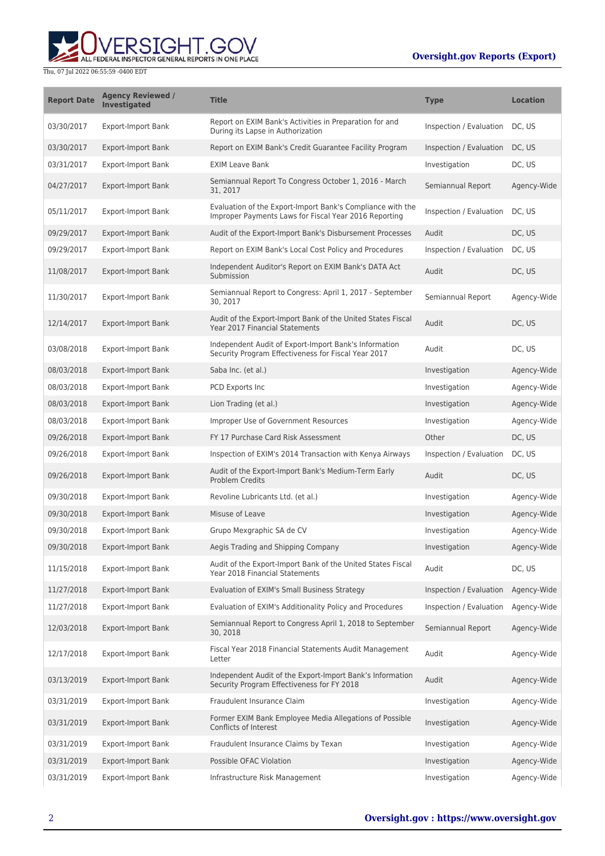

Thu, 07 Jul 2022 06:55:59 -0400 EDT

| <b>Report Date</b> | <b>Agency Reviewed /</b><br>Investigated | <b>Title</b>                                                                                                        | <b>Type</b>             | <b>Location</b> |
|--------------------|------------------------------------------|---------------------------------------------------------------------------------------------------------------------|-------------------------|-----------------|
| 03/30/2017         | <b>Export-Import Bank</b>                | Report on EXIM Bank's Activities in Preparation for and<br>During its Lapse in Authorization                        | Inspection / Evaluation | DC, US          |
| 03/30/2017         | <b>Export-Import Bank</b>                | Report on EXIM Bank's Credit Guarantee Facility Program                                                             | Inspection / Evaluation | DC, US          |
| 03/31/2017         | <b>Export-Import Bank</b>                | <b>EXIM Leave Bank</b>                                                                                              | Investigation           | DC, US          |
| 04/27/2017         | <b>Export-Import Bank</b>                | Semiannual Report To Congress October 1, 2016 - March<br>31, 2017                                                   | Semiannual Report       | Agency-Wide     |
| 05/11/2017         | <b>Export-Import Bank</b>                | Evaluation of the Export-Import Bank's Compliance with the<br>Improper Payments Laws for Fiscal Year 2016 Reporting | Inspection / Evaluation | DC, US          |
| 09/29/2017         | <b>Export-Import Bank</b>                | Audit of the Export-Import Bank's Disbursement Processes                                                            | Audit                   | DC, US          |
| 09/29/2017         | <b>Export-Import Bank</b>                | Report on EXIM Bank's Local Cost Policy and Procedures                                                              | Inspection / Evaluation | DC, US          |
| 11/08/2017         | <b>Export-Import Bank</b>                | Independent Auditor's Report on EXIM Bank's DATA Act<br>Submission                                                  | Audit                   | DC, US          |
| 11/30/2017         | <b>Export-Import Bank</b>                | Semiannual Report to Congress: April 1, 2017 - September<br>30, 2017                                                | Semiannual Report       | Agency-Wide     |
| 12/14/2017         | <b>Export-Import Bank</b>                | Audit of the Export-Import Bank of the United States Fiscal<br>Year 2017 Financial Statements                       | Audit                   | DC, US          |
| 03/08/2018         | <b>Export-Import Bank</b>                | Independent Audit of Export-Import Bank's Information<br>Security Program Effectiveness for Fiscal Year 2017        | Audit                   | DC, US          |
| 08/03/2018         | <b>Export-Import Bank</b>                | Saba Inc. (et al.)                                                                                                  | Investigation           | Agency-Wide     |
| 08/03/2018         | <b>Export-Import Bank</b>                | PCD Exports Inc                                                                                                     | Investigation           | Agency-Wide     |
| 08/03/2018         | <b>Export-Import Bank</b>                | Lion Trading (et al.)                                                                                               | Investigation           | Agency-Wide     |
| 08/03/2018         | <b>Export-Import Bank</b>                | Improper Use of Government Resources                                                                                | Investigation           | Agency-Wide     |
| 09/26/2018         | <b>Export-Import Bank</b>                | FY 17 Purchase Card Risk Assessment                                                                                 | Other                   | DC, US          |
| 09/26/2018         | <b>Export-Import Bank</b>                | Inspection of EXIM's 2014 Transaction with Kenya Airways                                                            | Inspection / Evaluation | DC, US          |
| 09/26/2018         | <b>Export-Import Bank</b>                | Audit of the Export-Import Bank's Medium-Term Early<br><b>Problem Credits</b>                                       | Audit                   | DC, US          |
| 09/30/2018         | <b>Export-Import Bank</b>                | Revoline Lubricants Ltd. (et al.)                                                                                   | Investigation           | Agency-Wide     |
| 09/30/2018         | <b>Export-Import Bank</b>                | Misuse of Leave                                                                                                     | Investigation           | Agency-Wide     |
| 09/30/2018         | <b>Export-Import Bank</b>                | Grupo Mexgraphic SA de CV                                                                                           | Investigation           | Agency-Wide     |
| 09/30/2018         | <b>Export-Import Bank</b>                | Aegis Trading and Shipping Company                                                                                  | Investigation           | Agency-Wide     |
| 11/15/2018         | <b>Export-Import Bank</b>                | Audit of the Export-Import Bank of the United States Fiscal<br>Year 2018 Financial Statements                       | Audit                   | DC, US          |
| 11/27/2018         | <b>Export-Import Bank</b>                | Evaluation of EXIM's Small Business Strategy                                                                        | Inspection / Evaluation | Agency-Wide     |
| 11/27/2018         | <b>Export-Import Bank</b>                | Evaluation of EXIM's Additionality Policy and Procedures                                                            | Inspection / Evaluation | Agency-Wide     |
| 12/03/2018         | Export-Import Bank                       | Semiannual Report to Congress April 1, 2018 to September<br>30, 2018                                                | Semiannual Report       | Agency-Wide     |
| 12/17/2018         | <b>Export-Import Bank</b>                | Fiscal Year 2018 Financial Statements Audit Management<br>Letter                                                    | Audit                   | Agency-Wide     |
| 03/13/2019         | <b>Export-Import Bank</b>                | Independent Audit of the Export-Import Bank's Information<br>Security Program Effectiveness for FY 2018             | Audit                   | Agency-Wide     |
| 03/31/2019         | <b>Export-Import Bank</b>                | Fraudulent Insurance Claim                                                                                          | Investigation           | Agency-Wide     |
| 03/31/2019         | <b>Export-Import Bank</b>                | Former EXIM Bank Employee Media Allegations of Possible<br>Conflicts of Interest                                    | Investigation           | Agency-Wide     |
| 03/31/2019         | <b>Export-Import Bank</b>                | Fraudulent Insurance Claims by Texan                                                                                | Investigation           | Agency-Wide     |
| 03/31/2019         | <b>Export-Import Bank</b>                | Possible OFAC Violation                                                                                             | Investigation           | Agency-Wide     |
| 03/31/2019         | <b>Export-Import Bank</b>                | Infrastructure Risk Management                                                                                      | Investigation           | Agency-Wide     |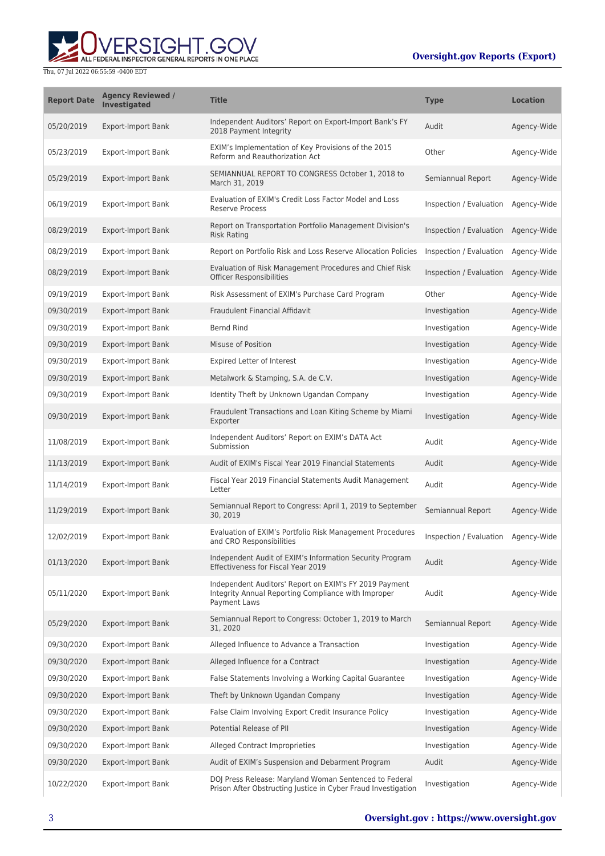

Thu, 07 Jul 2022 06:55:59 -0400 EDT

| <b>Report Date</b> | <b>Agency Reviewed /</b><br>Investigated | <b>Title</b>                                                                                                                         | <b>Type</b>             | <b>Location</b> |
|--------------------|------------------------------------------|--------------------------------------------------------------------------------------------------------------------------------------|-------------------------|-----------------|
| 05/20/2019         | <b>Export-Import Bank</b>                | Independent Auditors' Report on Export-Import Bank's FY<br>2018 Payment Integrity                                                    | Audit                   | Agency-Wide     |
| 05/23/2019         | <b>Export-Import Bank</b>                | EXIM's Implementation of Key Provisions of the 2015<br>Reform and Reauthorization Act                                                | Other                   | Agency-Wide     |
| 05/29/2019         | <b>Export-Import Bank</b>                | SEMIANNUAL REPORT TO CONGRESS October 1, 2018 to<br>March 31, 2019                                                                   | Semiannual Report       | Agency-Wide     |
| 06/19/2019         | <b>Export-Import Bank</b>                | Evaluation of EXIM's Credit Loss Factor Model and Loss<br><b>Reserve Process</b>                                                     | Inspection / Evaluation | Agency-Wide     |
| 08/29/2019         | <b>Export-Import Bank</b>                | Report on Transportation Portfolio Management Division's<br><b>Risk Rating</b>                                                       | Inspection / Evaluation | Agency-Wide     |
| 08/29/2019         | <b>Export-Import Bank</b>                | Report on Portfolio Risk and Loss Reserve Allocation Policies                                                                        | Inspection / Evaluation | Agency-Wide     |
| 08/29/2019         | <b>Export-Import Bank</b>                | Evaluation of Risk Management Procedures and Chief Risk<br><b>Officer Responsibilities</b>                                           | Inspection / Evaluation | Agency-Wide     |
| 09/19/2019         | <b>Export-Import Bank</b>                | Risk Assessment of EXIM's Purchase Card Program                                                                                      | Other                   | Agency-Wide     |
| 09/30/2019         | <b>Export-Import Bank</b>                | Fraudulent Financial Affidavit                                                                                                       | Investigation           | Agency-Wide     |
| 09/30/2019         | <b>Export-Import Bank</b>                | <b>Bernd Rind</b>                                                                                                                    | Investigation           | Agency-Wide     |
| 09/30/2019         | <b>Export-Import Bank</b>                | Misuse of Position                                                                                                                   | Investigation           | Agency-Wide     |
| 09/30/2019         | <b>Export-Import Bank</b>                | Expired Letter of Interest                                                                                                           | Investigation           | Agency-Wide     |
| 09/30/2019         | <b>Export-Import Bank</b>                | Metalwork & Stamping, S.A. de C.V.                                                                                                   | Investigation           | Agency-Wide     |
| 09/30/2019         | <b>Export-Import Bank</b>                | Identity Theft by Unknown Ugandan Company                                                                                            | Investigation           | Agency-Wide     |
| 09/30/2019         | <b>Export-Import Bank</b>                | Fraudulent Transactions and Loan Kiting Scheme by Miami<br>Exporter                                                                  | Investigation           | Agency-Wide     |
| 11/08/2019         | <b>Export-Import Bank</b>                | Independent Auditors' Report on EXIM's DATA Act<br>Submission                                                                        | Audit                   | Agency-Wide     |
| 11/13/2019         | <b>Export-Import Bank</b>                | Audit of EXIM's Fiscal Year 2019 Financial Statements                                                                                | Audit                   | Agency-Wide     |
| 11/14/2019         | <b>Export-Import Bank</b>                | Fiscal Year 2019 Financial Statements Audit Management<br>Letter                                                                     | Audit                   | Agency-Wide     |
| 11/29/2019         | <b>Export-Import Bank</b>                | Semiannual Report to Congress: April 1, 2019 to September<br>30, 2019                                                                | Semiannual Report       | Agency-Wide     |
| 12/02/2019         | <b>Export-Import Bank</b>                | Evaluation of EXIM's Portfolio Risk Management Procedures<br>and CRO Responsibilities                                                | Inspection / Evaluation | Agency-Wide     |
| 01/13/2020         | <b>Export-Import Bank</b>                | Independent Audit of EXIM's Information Security Program<br><b>Effectiveness for Fiscal Year 2019</b>                                | Audit                   | Agency-Wide     |
| 05/11/2020         | <b>Export-Import Bank</b>                | Independent Auditors' Report on EXIM's FY 2019 Payment<br>Integrity Annual Reporting Compliance with Improper<br><b>Payment Laws</b> | Audit                   | Agency-Wide     |
| 05/29/2020         | <b>Export-Import Bank</b>                | Semiannual Report to Congress: October 1, 2019 to March<br>31, 2020                                                                  | Semiannual Report       | Agency-Wide     |
| 09/30/2020         | <b>Export-Import Bank</b>                | Alleged Influence to Advance a Transaction                                                                                           | Investigation           | Agency-Wide     |
| 09/30/2020         | <b>Export-Import Bank</b>                | Alleged Influence for a Contract                                                                                                     | Investigation           | Agency-Wide     |
| 09/30/2020         | <b>Export-Import Bank</b>                | False Statements Involving a Working Capital Guarantee                                                                               | Investigation           | Agency-Wide     |
| 09/30/2020         | <b>Export-Import Bank</b>                | Theft by Unknown Ugandan Company                                                                                                     | Investigation           | Agency-Wide     |
| 09/30/2020         | Export-Import Bank                       | False Claim Involving Export Credit Insurance Policy                                                                                 | Investigation           | Agency-Wide     |
| 09/30/2020         | <b>Export-Import Bank</b>                | Potential Release of PII                                                                                                             | Investigation           | Agency-Wide     |
| 09/30/2020         | <b>Export-Import Bank</b>                | Alleged Contract Improprieties                                                                                                       | Investigation           | Agency-Wide     |
| 09/30/2020         | Export-Import Bank                       | Audit of EXIM's Suspension and Debarment Program                                                                                     | Audit                   | Agency-Wide     |
| 10/22/2020         | <b>Export-Import Bank</b>                | DOJ Press Release: Maryland Woman Sentenced to Federal<br>Prison After Obstructing Justice in Cyber Fraud Investigation              | Investigation           | Agency-Wide     |